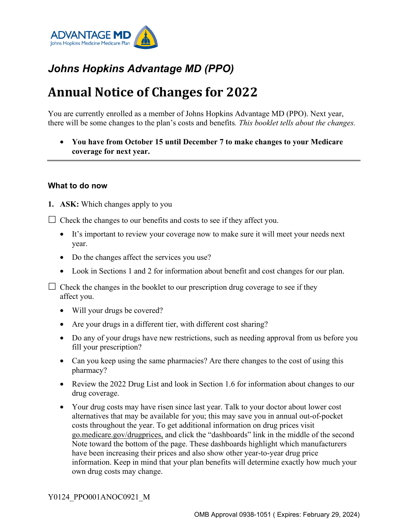

# *Johns Hopkins Advantage MD (PPO)*

# **Annual Notice of Changes for 2022**

You are currently enrolled as a member of Johns Hopkins Advantage MD (PPO). Next year, there will be some changes to the plan's costs and benefits*. This booklet tells about the changes.*

• **You have from October 15 until December 7 to make changes to your Medicare coverage for next year.**

#### **What to do now**

**1. ASK:** Which changes apply to you

 $\Box$  Check the changes to our benefits and costs to see if they affect you.

- It's important to review your coverage now to make sure it will meet your needs next year.
- Do the changes affect the services you use?
- Look in Sections 1 and 2 for information about benefit and cost changes for our plan.

 $\Box$  Check the changes in the booklet to our prescription drug coverage to see if they affect you.

- Will your drugs be covered?
- Are your drugs in a different tier, with different cost sharing?
- Do any of your drugs have new restrictions, such as needing approval from us before you fill your prescription?
- Can you keep using the same pharmacies? Are there changes to the cost of using this pharmacy?
- Review the 2022 Drug List and look in Section 1.6 for information about changes to our drug coverage.
- Your drug costs may have risen since last year. Talk to your doctor about lower cost alternatives that may be available for you; this may save you in annual out-of-pocket costs throughout the year. To get additional information on drug prices visit [go.medicare.gov/drugprices,](https://go.medicare.gov/drugprices) and click the "dashboards" link in the middle of the second Note toward the bottom of the page. These dashboards highlight which manufacturers have been increasing their prices and also show other year-to-year drug price information. Keep in mind that your plan benefits will determine exactly how much your own drug costs may change.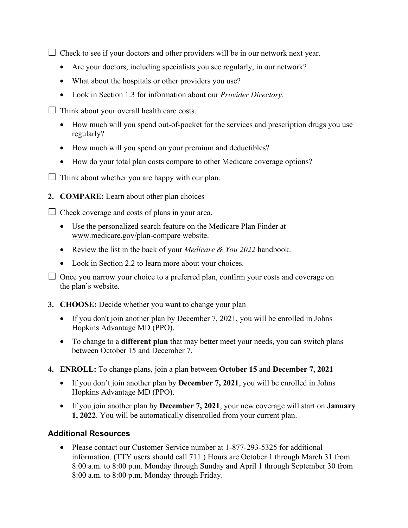$\Box$  Check to see if your doctors and other providers will be in our network next year.

- Are your doctors, including specialists you see regularly, in our network?
- What about the hospitals or other providers you use?
- Look in Section 1.3 for information about our *Provider Directory*.
- $\Box$  Think about your overall health care costs.
	- How much will you spend out-of-pocket for the services and prescription drugs you use regularly?
	- How much will you spend on your premium and deductibles?
	- How do your total plan costs compare to other Medicare coverage options?
- $\Box$  Think about whether you are happy with our plan.
- **2. COMPARE:** Learn about other plan choices

 $\Box$  Check coverage and costs of plans in your area.

- Use the personalized search feature on the Medicare Plan Finder at [www.medicare.gov/plan-compare](http://www.medicare.gov/plan-compare) website.
- Review the list in the back of your *Medicare & You 2022* handbook.
- Look in Section 2.2 to learn more about your choices.

 $\Box$  Once you narrow your choice to a preferred plan, confirm your costs and coverage on the plan's website.

- **3. CHOOSE:** Decide whether you want to change your plan
	- If you don't join another plan by December 7, 2021, you will be enrolled in Johns Hopkins Advantage MD (PPO).
	- To change to a **different plan** that may better meet your needs, you can switch plans between October 15 and December 7.
- **4. ENROLL:** To change plans, join a plan between **October 15** and **December 7, 2021**
	- If you don't join another plan by **December 7, 2021**, you will be enrolled in Johns Hopkins Advantage MD (PPO).
	- If you join another plan by **December 7, 2021**, your new coverage will start on **January 1, 2022**. You will be automatically disenrolled from your current plan.

# **Additional Resources**

• Please contact our Customer Service number at 1-877-293-5325 for additional information. (TTY users should call 711.) Hours are October 1 through March 31 from 8:00 a.m. to 8:00 p.m. Monday through Sunday and April 1 through September 30 from 8:00 a.m. to 8:00 p.m. Monday through Friday.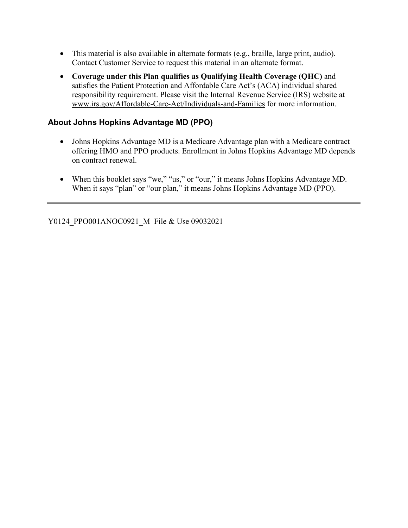- This material is also available in alternate formats (e.g., braille, large print, audio). Contact Customer Service to request this material in an alternate format.
- **Coverage under this Plan qualifies as Qualifying Health Coverage (QHC)** and satisfies the Patient Protection and Affordable Care Act's (ACA) individual shared responsibility requirement. Please visit the Internal Revenue Service (IRS) website at [www.irs.gov/Affordable-Care-Act/Individuals-and-Families](http://www.irs.gov/Affordable-Care-Act/Individuals-and-Families) for more information.

### **About Johns Hopkins Advantage MD (PPO)**

- Johns Hopkins Advantage MD is a Medicare Advantage plan with a Medicare contract offering HMO and PPO products. Enrollment in Johns Hopkins Advantage MD depends on contract renewal.
- When this booklet says "we," "us," or "our," it means Johns Hopkins Advantage MD. When it says "plan" or "our plan," it means Johns Hopkins Advantage MD (PPO).

Y0124\_PPO001ANOC0921\_M\_File & Use 09032021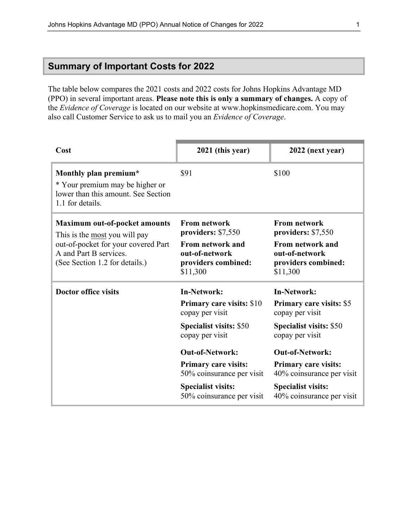# **Summary of Important Costs for 2022**

The table below compares the 2021 costs and 2022 costs for Johns Hopkins Advantage MD (PPO) in several important areas. **Please note this is only a summary of changes.** A copy of the *Evidence of Coverage* is located on our website at [www.hopkinsmedicare.com](http://www.hopkinsmedicare.com). You may also call Customer Service to ask us to mail you an *Evidence of Coverage*.

| Cost                                                                                                                                                                     | 2021 (this year)                                                                                                                                                                                                                                                               | 2022 (next year)                                                                                                                                                                                                                                                       |
|--------------------------------------------------------------------------------------------------------------------------------------------------------------------------|--------------------------------------------------------------------------------------------------------------------------------------------------------------------------------------------------------------------------------------------------------------------------------|------------------------------------------------------------------------------------------------------------------------------------------------------------------------------------------------------------------------------------------------------------------------|
| Monthly plan premium*<br>* Your premium may be higher or<br>lower than this amount. See Section<br>1.1 for details.                                                      | \$91                                                                                                                                                                                                                                                                           | \$100                                                                                                                                                                                                                                                                  |
| <b>Maximum out-of-pocket amounts</b><br>This is the most you will pay<br>out-of-pocket for your covered Part<br>A and Part B services.<br>(See Section 1.2 for details.) | <b>From network</b><br>providers: \$7,550<br>From network and<br>out-of-network<br>providers combined:<br>\$11,300                                                                                                                                                             | <b>From network</b><br>providers: \$7,550<br>From network and<br>out-of-network<br>providers combined:<br>\$11,300                                                                                                                                                     |
| <b>Doctor office visits</b>                                                                                                                                              | <b>In-Network:</b><br><b>Primary care visits: \$10</b><br>copay per visit<br><b>Specialist visits: \$50</b><br>copay per visit<br><b>Out-of-Network:</b><br><b>Primary care visits:</b><br>50% coinsurance per visit<br><b>Specialist visits:</b><br>50% coinsurance per visit | <b>In-Network:</b><br>Primary care visits: \$5<br>copay per visit<br><b>Specialist visits: \$50</b><br>copay per visit<br><b>Out-of-Network:</b><br><b>Primary care visits:</b><br>40% coinsurance per visit<br><b>Specialist visits:</b><br>40% coinsurance per visit |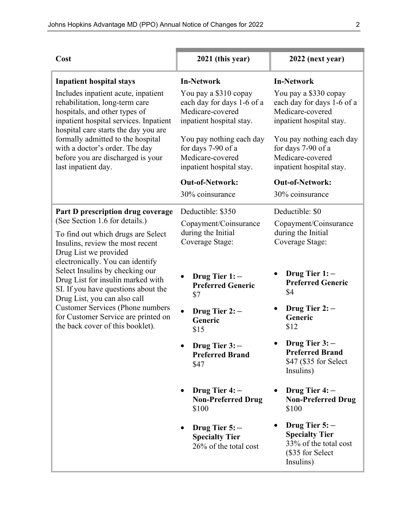| Cost                                                                                                                                                                                                                                                                                                                                                                                                     | 2021 (this year)                                                                                    | 2022 (next year)                                                                                    |
|----------------------------------------------------------------------------------------------------------------------------------------------------------------------------------------------------------------------------------------------------------------------------------------------------------------------------------------------------------------------------------------------------------|-----------------------------------------------------------------------------------------------------|-----------------------------------------------------------------------------------------------------|
| <b>Inpatient hospital stays</b>                                                                                                                                                                                                                                                                                                                                                                          | <b>In-Network</b>                                                                                   | <b>In-Network</b>                                                                                   |
| Includes inpatient acute, inpatient<br>rehabilitation, long-term care<br>hospitals, and other types of<br>inpatient hospital services. Inpatient<br>hospital care starts the day you are                                                                                                                                                                                                                 | You pay a \$310 copay<br>each day for days 1-6 of a<br>Medicare-covered<br>inpatient hospital stay. | You pay a \$330 copay<br>each day for days 1-6 of a<br>Medicare-covered<br>inpatient hospital stay. |
| formally admitted to the hospital<br>with a doctor's order. The day<br>before you are discharged is your<br>last inpatient day.                                                                                                                                                                                                                                                                          | You pay nothing each day<br>for days 7-90 of a<br>Medicare-covered<br>inpatient hospital stay.      | You pay nothing each day<br>for days 7-90 of a<br>Medicare-covered<br>inpatient hospital stay.      |
|                                                                                                                                                                                                                                                                                                                                                                                                          | <b>Out-of-Network:</b>                                                                              | <b>Out-of-Network:</b>                                                                              |
|                                                                                                                                                                                                                                                                                                                                                                                                          | 30% coinsurance                                                                                     | 30% coinsurance                                                                                     |
| Part D prescription drug coverage<br>(See Section 1.6 for details.)                                                                                                                                                                                                                                                                                                                                      | Deductible: \$350<br>Copayment/Coinsurance                                                          | Deductible: \$0<br>Copayment/Coinsurance                                                            |
| To find out which drugs are Select<br>Insulins, review the most recent<br>Drug List we provided<br>electronically. You can identify<br>Select Insulins by checking our<br>Drug List for insulin marked with<br>SI. If you have questions about the<br>Drug List, you can also call<br><b>Customer Services (Phone numbers</b><br>for Customer Service are printed on<br>the back cover of this booklet). | during the Initial<br>Coverage Stage:                                                               | during the Initial<br>Coverage Stage:                                                               |
|                                                                                                                                                                                                                                                                                                                                                                                                          | Drug Tier $1:-$<br><b>Preferred Generic</b><br>\$7                                                  | Drug Tier 1: -<br><b>Preferred Generic</b><br>\$4                                                   |
|                                                                                                                                                                                                                                                                                                                                                                                                          | Drug Tier $2:-$<br>Generic<br>\$15                                                                  | Drug Tier $2:-$<br>Generic<br>\$12                                                                  |
|                                                                                                                                                                                                                                                                                                                                                                                                          | Drug Tier 3:-<br><b>Preferred Brand</b><br>\$47                                                     | Drug Tier $3:-$<br><b>Preferred Brand</b><br>\$47 (\$35 for Select<br>Insulins)                     |
|                                                                                                                                                                                                                                                                                                                                                                                                          | Drug Tier $4:-$<br><b>Non-Preferred Drug</b><br>\$100                                               | Drug Tier $4:-$<br><b>Non-Preferred Drug</b><br>\$100                                               |
|                                                                                                                                                                                                                                                                                                                                                                                                          | Drug Tier $5:-$<br><b>Specialty Tier</b><br>26% of the total cost                                   | Drug Tier $5:-$<br><b>Specialty Tier</b><br>33% of the total cost<br>(\$35 for Select<br>Insulins)  |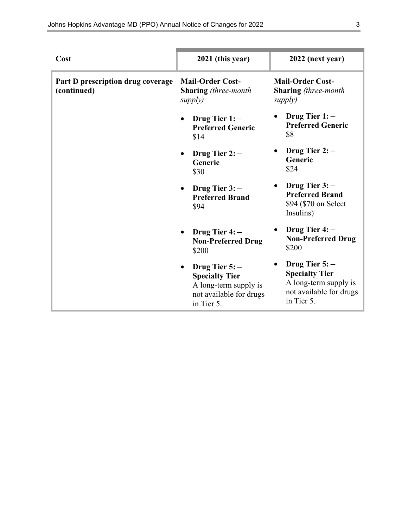| Cost                                             | 2021 (this year)                                                                                           | 2022 (next year)                                                                                           |
|--------------------------------------------------|------------------------------------------------------------------------------------------------------------|------------------------------------------------------------------------------------------------------------|
| Part D prescription drug coverage<br>(continued) | <b>Mail-Order Cost-</b><br><b>Sharing</b> (three-month<br>supply)                                          | <b>Mail-Order Cost-</b><br><b>Sharing</b> (three-month<br>supply)                                          |
|                                                  | Drug Tier $1:-$<br><b>Preferred Generic</b><br>\$14                                                        | Drug Tier $1:-$<br><b>Preferred Generic</b><br>\$8                                                         |
|                                                  | Drug Tier $2:-$<br>Generic<br>\$30                                                                         | Drug Tier $2:-$<br>Generic<br>\$24                                                                         |
|                                                  | Drug Tier $3:-$<br><b>Preferred Brand</b><br>\$94                                                          | Drug Tier $3:-$<br><b>Preferred Brand</b><br>\$94 (\$70 on Select<br>Insulins)                             |
|                                                  | Drug Tier 4: -<br><b>Non-Preferred Drug</b><br>\$200                                                       | Drug Tier $4:-$<br><b>Non-Preferred Drug</b><br>\$200                                                      |
|                                                  | Drug Tier $5:-$<br><b>Specialty Tier</b><br>A long-term supply is<br>not available for drugs<br>in Tier 5. | Drug Tier $5:-$<br><b>Specialty Tier</b><br>A long-term supply is<br>not available for drugs<br>in Tier 5. |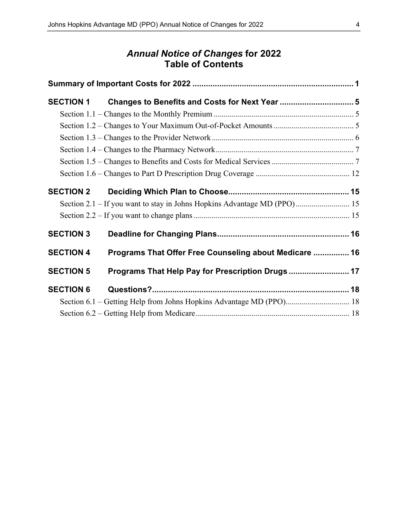# *Annual Notice of Changes* **for 2022 Table of Contents**

| <b>SECTION 1</b> |                                                                          |  |
|------------------|--------------------------------------------------------------------------|--|
|                  |                                                                          |  |
|                  |                                                                          |  |
|                  |                                                                          |  |
|                  |                                                                          |  |
|                  |                                                                          |  |
|                  |                                                                          |  |
| <b>SECTION 2</b> |                                                                          |  |
|                  | Section 2.1 - If you want to stay in Johns Hopkins Advantage MD (PPO) 15 |  |
|                  |                                                                          |  |
| <b>SECTION 3</b> |                                                                          |  |
| <b>SECTION 4</b> | Programs That Offer Free Counseling about Medicare  16                   |  |
| <b>SECTION 5</b> | Programs That Help Pay for Prescription Drugs  17                        |  |
| <b>SECTION 6</b> |                                                                          |  |
|                  |                                                                          |  |
|                  |                                                                          |  |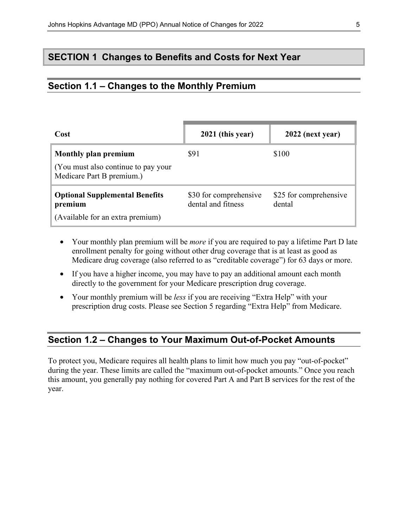# **SECTION 1 Changes to Benefits and Costs for Next Year**

## **Section 1.1 – Changes to the Monthly Premium**

| Cost                                                                                      | 2021 (this year)                             | 2022 (next year)                 |
|-------------------------------------------------------------------------------------------|----------------------------------------------|----------------------------------|
| Monthly plan premium<br>(You must also continue to pay your)<br>Medicare Part B premium.) | \$91                                         | \$100                            |
| <b>Optional Supplemental Benefits</b><br>premium<br>(Available for an extra premium)      | \$30 for comprehensive<br>dental and fitness | \$25 for comprehensive<br>dental |

- Your monthly plan premium will be *more* if you are required to pay a lifetime Part D late enrollment penalty for going without other drug coverage that is at least as good as Medicare drug coverage (also referred to as "creditable coverage") for 63 days or more.
- If you have a higher income, you may have to pay an additional amount each month directly to the government for your Medicare prescription drug coverage.
- Your monthly premium will be *less* if you are receiving "Extra Help" with your prescription drug costs. Please see Section 5 regarding "Extra Help" from Medicare.

# **Section 1.2 – Changes to Your Maximum Out-of-Pocket Amounts**

To protect you, Medicare requires all health plans to limit how much you pay "out-of-pocket" during the year. These limits are called the "maximum out-of-pocket amounts." Once you reach this amount, you generally pay nothing for covered Part A and Part B services for the rest of the year.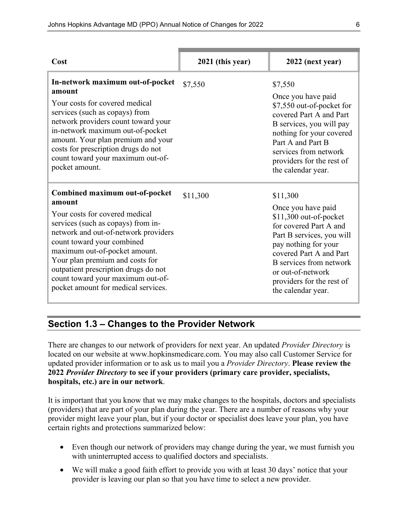| Cost                                                                                                                                                                                                                                                                                                                                                                           | 2021 (this year) | 2022 (next year)                                                                                                                                                                                                                                                      |
|--------------------------------------------------------------------------------------------------------------------------------------------------------------------------------------------------------------------------------------------------------------------------------------------------------------------------------------------------------------------------------|------------------|-----------------------------------------------------------------------------------------------------------------------------------------------------------------------------------------------------------------------------------------------------------------------|
| In-network maximum out-of-pocket<br>amount<br>Your costs for covered medical<br>services (such as copays) from<br>network providers count toward your<br>in-network maximum out-of-pocket<br>amount. Your plan premium and your<br>costs for prescription drugs do not<br>count toward your maximum out-of-<br>pocket amount.                                                  | \$7,550          | \$7,550<br>Once you have paid<br>\$7,550 out-of-pocket for<br>covered Part A and Part<br>B services, you will pay<br>nothing for your covered<br>Part A and Part B<br>services from network<br>providers for the rest of<br>the calendar year.                        |
| Combined maximum out-of-pocket<br>amount<br>Your costs for covered medical<br>services (such as copays) from in-<br>network and out-of-network providers<br>count toward your combined<br>maximum out-of-pocket amount.<br>Your plan premium and costs for<br>outpatient prescription drugs do not<br>count toward your maximum out-of-<br>pocket amount for medical services. | \$11,300         | \$11,300<br>Once you have paid<br>\$11,300 out-of-pocket<br>for covered Part A and<br>Part B services, you will<br>pay nothing for your<br>covered Part A and Part<br>B services from network<br>or out-of-network<br>providers for the rest of<br>the calendar year. |

### **Section 1.3 – Changes to the Provider Network**

There are changes to our network of providers for next year. An updated *Provider Directory* is located on our website at [www.hopkinsmedicare.com.](http://www.hopkinsmedicare.com) You may also call Customer Service for updated provider information or to ask us to mail you a *Provider Directory*. **Please review the 2022** *Provider Directory* **to see if your providers (primary care provider, specialists, hospitals, etc.) are in our network**.

It is important that you know that we may make changes to the hospitals, doctors and specialists (providers) that are part of your plan during the year. There are a number of reasons why your provider might leave your plan, but if your doctor or specialist does leave your plan, you have certain rights and protections summarized below:

- Even though our network of providers may change during the year, we must furnish you with uninterrupted access to qualified doctors and specialists.
- We will make a good faith effort to provide you with at least 30 days' notice that your provider is leaving our plan so that you have time to select a new provider.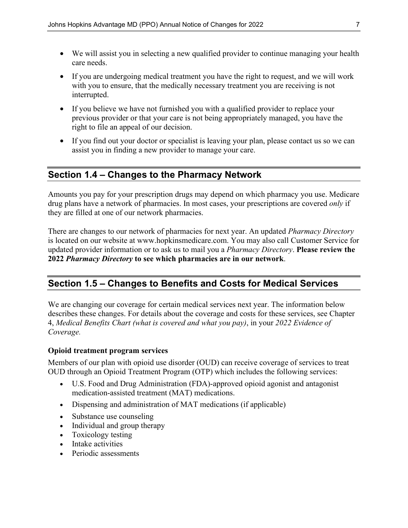- We will assist you in selecting a new qualified provider to continue managing your health care needs.
- If you are undergoing medical treatment you have the right to request, and we will work with you to ensure, that the medically necessary treatment you are receiving is not interrupted.
- If you believe we have not furnished you with a qualified provider to replace your previous provider or that your care is not being appropriately managed, you have the right to file an appeal of our decision.
- If you find out your doctor or specialist is leaving your plan, please contact us so we can assist you in finding a new provider to manage your care.

#### **Section 1.4 – Changes to the Pharmacy Network**

Amounts you pay for your prescription drugs may depend on which pharmacy you use. Medicare drug plans have a network of pharmacies. In most cases, your prescriptions are covered *only* if they are filled at one of our network pharmacies.

There are changes to our network of pharmacies for next year. An updated *Pharmacy Directory* is located on our website at [www.hopkinsmedicare.com.](http://www.hopkinsmedicare.com) You may also call Customer Service for updated provider information or to ask us to mail you a *Pharmacy Directory*. **Please review the 2022** *Pharmacy Directory* **to see which pharmacies are in our network**.

### **Section 1.5 – Changes to Benefits and Costs for Medical Services**

We are changing our coverage for certain medical services next year. The information below describes these changes. For details about the coverage and costs for these services, see Chapter 4, *Medical Benefits Chart (what is covered and what you pay)*, in your *2022 Evidence of Coverage.*

#### **Opioid treatment program services**

Members of our plan with opioid use disorder (OUD) can receive coverage of services to treat OUD through an Opioid Treatment Program (OTP) which includes the following services:

- U.S. Food and Drug Administration (FDA)-approved opioid agonist and antagonist medication-assisted treatment (MAT) medications.
- Dispensing and administration of MAT medications (if applicable)
- Substance use counseling
- Individual and group therapy
- Toxicology testing
- Intake activities
- Periodic assessments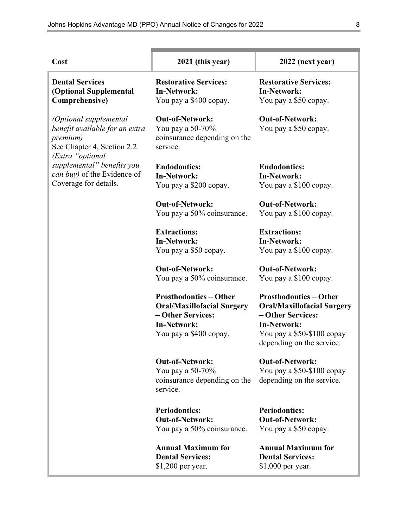| Cost                                                                                                                   | 2021 (this year)                                                                                                                      | 2022 (next year)                                                                                                                                                       |
|------------------------------------------------------------------------------------------------------------------------|---------------------------------------------------------------------------------------------------------------------------------------|------------------------------------------------------------------------------------------------------------------------------------------------------------------------|
| <b>Dental Services</b><br>(Optional Supplemental<br>Comprehensive)                                                     | <b>Restorative Services:</b><br><b>In-Network:</b><br>You pay a \$400 copay.                                                          | <b>Restorative Services:</b><br><b>In-Network:</b><br>You pay a \$50 copay.                                                                                            |
| (Optional supplemental<br>benefit available for an extra<br>premium)<br>See Chapter 4, Section 2.2<br>(Extra "optional | <b>Out-of-Network:</b><br>You pay a 50-70%<br>coinsurance depending on the<br>service.                                                | <b>Out-of-Network:</b><br>You pay a \$50 copay.                                                                                                                        |
| supplemental" benefits you<br>can buy) of the Evidence of<br>Coverage for details.                                     | <b>Endodontics:</b><br><b>In-Network:</b><br>You pay a \$200 copay.                                                                   | <b>Endodontics:</b><br><b>In-Network:</b><br>You pay a \$100 copay.                                                                                                    |
|                                                                                                                        | <b>Out-of-Network:</b><br>You pay a 50% coinsurance.                                                                                  | <b>Out-of-Network:</b><br>You pay a \$100 copay.                                                                                                                       |
|                                                                                                                        | <b>Extractions:</b><br><b>In-Network:</b><br>You pay a \$50 copay.                                                                    | <b>Extractions:</b><br><b>In-Network:</b><br>You pay a \$100 copay.                                                                                                    |
|                                                                                                                        | <b>Out-of-Network:</b><br>You pay a 50% coinsurance.                                                                                  | <b>Out-of-Network:</b><br>You pay a \$100 copay.                                                                                                                       |
|                                                                                                                        | <b>Prosthodontics-Other</b><br><b>Oral/Maxillofacial Surgery</b><br>- Other Services:<br><b>In-Network:</b><br>You pay a \$400 copay. | <b>Prosthodontics-Other</b><br><b>Oral/Maxillofacial Surgery</b><br>- Other Services:<br><b>In-Network:</b><br>You pay a \$50-\$100 copay<br>depending on the service. |
|                                                                                                                        | <b>Out-of-Network:</b><br>You pay a 50-70%<br>coinsurance depending on the<br>service.                                                | <b>Out-of-Network:</b><br>You pay a \$50-\$100 copay<br>depending on the service.                                                                                      |
|                                                                                                                        | <b>Periodontics:</b><br><b>Out-of-Network:</b><br>You pay a 50% coinsurance.                                                          | <b>Periodontics:</b><br><b>Out-of-Network:</b><br>You pay a \$50 copay.                                                                                                |
|                                                                                                                        | <b>Annual Maximum for</b><br><b>Dental Services:</b><br>\$1,200 per year.                                                             | <b>Annual Maximum for</b><br><b>Dental Services:</b><br>\$1,000 per year.                                                                                              |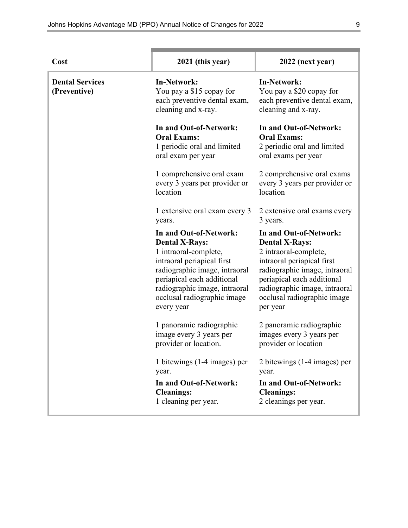| Cost                                   | 2021 (this year)                                                                                                                                                                                                                                    | 2022 (next year)                                                                                                                                                                                                                                  |
|----------------------------------------|-----------------------------------------------------------------------------------------------------------------------------------------------------------------------------------------------------------------------------------------------------|---------------------------------------------------------------------------------------------------------------------------------------------------------------------------------------------------------------------------------------------------|
| <b>Dental Services</b><br>(Preventive) | <b>In-Network:</b><br>You pay a \$15 copay for<br>each preventive dental exam,<br>cleaning and x-ray.                                                                                                                                               | <b>In-Network:</b><br>You pay a \$20 copay for<br>each preventive dental exam,<br>cleaning and x-ray.                                                                                                                                             |
|                                        | In and Out-of-Network:<br><b>Oral Exams:</b><br>1 periodic oral and limited<br>oral exam per year                                                                                                                                                   | In and Out-of-Network:<br><b>Oral Exams:</b><br>2 periodic oral and limited<br>oral exams per year                                                                                                                                                |
|                                        | 1 comprehensive oral exam<br>every 3 years per provider or<br>location                                                                                                                                                                              | 2 comprehensive oral exams<br>every 3 years per provider or<br>location                                                                                                                                                                           |
|                                        | 1 extensive oral exam every 3<br>years.                                                                                                                                                                                                             | 2 extensive oral exams every<br>3 years.                                                                                                                                                                                                          |
|                                        | In and Out-of-Network:<br><b>Dental X-Rays:</b><br>1 intraoral-complete,<br>intraoral periapical first<br>radiographic image, intraoral<br>periapical each additional<br>radiographic image, intraoral<br>occlusal radiographic image<br>every year | In and Out-of-Network:<br><b>Dental X-Rays:</b><br>2 intraoral-complete,<br>intraoral periapical first<br>radiographic image, intraoral<br>periapical each additional<br>radiographic image, intraoral<br>occlusal radiographic image<br>per year |
|                                        | 1 panoramic radiographic<br>image every 3 years per<br>provider or location.                                                                                                                                                                        | 2 panoramic radiographic<br>images every 3 years per<br>provider or location                                                                                                                                                                      |
|                                        | 1 bitewings (1-4 images) per<br>year.<br>In and Out-of-Network:<br><b>Cleanings:</b><br>1 cleaning per year.                                                                                                                                        | 2 bitewings $(1-4 \text{ images})$ per<br>year.<br>In and Out-of-Network:<br><b>Cleanings:</b><br>2 cleanings per year.                                                                                                                           |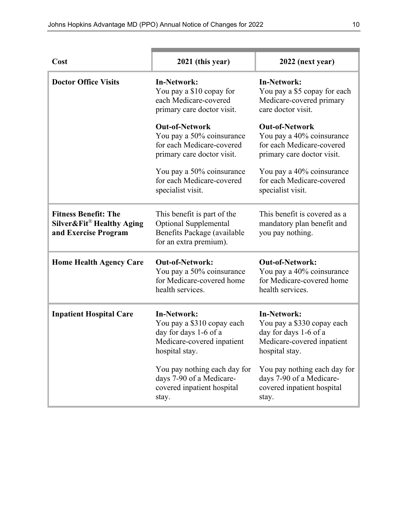| Cost                                                                             | 2021 (this year)                                                                                                          | 2022 (next year)                                                                                                          |
|----------------------------------------------------------------------------------|---------------------------------------------------------------------------------------------------------------------------|---------------------------------------------------------------------------------------------------------------------------|
| <b>Doctor Office Visits</b>                                                      | <b>In-Network:</b><br>You pay a \$10 copay for<br>each Medicare-covered<br>primary care doctor visit.                     | <b>In-Network:</b><br>You pay a \$5 copay for each<br>Medicare-covered primary<br>care doctor visit.                      |
|                                                                                  | <b>Out-of-Network</b><br>You pay a 50% coinsurance<br>for each Medicare-covered<br>primary care doctor visit.             | <b>Out-of-Network</b><br>You pay a 40% coinsurance<br>for each Medicare-covered<br>primary care doctor visit.             |
|                                                                                  | You pay a 50% coinsurance<br>for each Medicare-covered<br>specialist visit.                                               | You pay a 40% coinsurance<br>for each Medicare-covered<br>specialist visit.                                               |
| <b>Fitness Benefit: The</b><br>Silver&Fit® Healthy Aging<br>and Exercise Program | This benefit is part of the<br><b>Optional Supplemental</b><br>Benefits Package (available<br>for an extra premium).      | This benefit is covered as a<br>mandatory plan benefit and<br>you pay nothing.                                            |
| <b>Home Health Agency Care</b>                                                   | <b>Out-of-Network:</b><br>You pay a 50% coinsurance<br>for Medicare-covered home<br>health services.                      | <b>Out-of-Network:</b><br>You pay a 40% coinsurance<br>for Medicare-covered home<br>health services.                      |
| <b>Inpatient Hospital Care</b>                                                   | <b>In-Network:</b><br>You pay a \$310 copay each<br>day for days 1-6 of a<br>Medicare-covered inpatient<br>hospital stay. | <b>In-Network:</b><br>You pay a \$330 copay each<br>day for days 1-6 of a<br>Medicare-covered inpatient<br>hospital stay. |
|                                                                                  | You pay nothing each day for<br>days 7-90 of a Medicare-<br>covered inpatient hospital<br>stay.                           | You pay nothing each day for<br>days 7-90 of a Medicare-<br>covered inpatient hospital<br>stay.                           |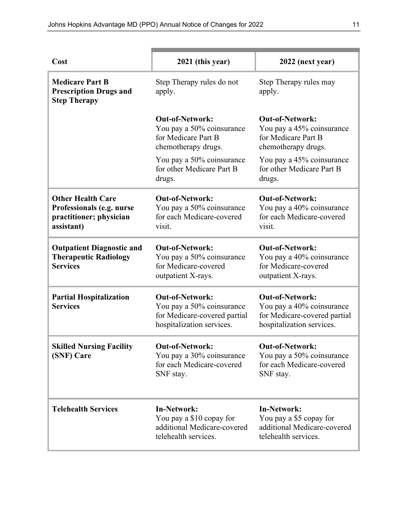| Cost                                                                                           | 2021 (this year)                                                                                                 | 2022 (next year)                                                                                                 |
|------------------------------------------------------------------------------------------------|------------------------------------------------------------------------------------------------------------------|------------------------------------------------------------------------------------------------------------------|
| <b>Medicare Part B</b><br><b>Prescription Drugs and</b><br><b>Step Therapy</b>                 | Step Therapy rules do not<br>apply.                                                                              | Step Therapy rules may<br>apply.                                                                                 |
|                                                                                                | <b>Out-of-Network:</b><br>You pay a 50% coinsurance<br>for Medicare Part B<br>chemotherapy drugs.                | <b>Out-of-Network:</b><br>You pay a 45% coinsurance<br>for Medicare Part B<br>chemotherapy drugs.                |
|                                                                                                | You pay a 50% coinsurance<br>for other Medicare Part B<br>drugs.                                                 | You pay a 45% coinsurance<br>for other Medicare Part B<br>drugs.                                                 |
| <b>Other Health Care</b><br>Professionals (e.g. nurse<br>practitioner; physician<br>assistant) | <b>Out-of-Network:</b><br>You pay a 50% coinsurance<br>for each Medicare-covered<br>visit.                       | <b>Out-of-Network:</b><br>You pay a 40% coinsurance<br>for each Medicare-covered<br>visit.                       |
| <b>Outpatient Diagnostic and</b><br><b>Therapeutic Radiology</b><br><b>Services</b>            | <b>Out-of-Network:</b><br>You pay a 50% coinsurance<br>for Medicare-covered<br>outpatient X-rays.                | <b>Out-of-Network:</b><br>You pay a 40% coinsurance<br>for Medicare-covered<br>outpatient X-rays.                |
| <b>Partial Hospitalization</b><br><b>Services</b>                                              | <b>Out-of-Network:</b><br>You pay a 50% coinsurance<br>for Medicare-covered partial<br>hospitalization services. | <b>Out-of-Network:</b><br>You pay a 40% coinsurance<br>for Medicare-covered partial<br>hospitalization services. |
| <b>Skilled Nursing Facility</b><br>(SNF) Care                                                  | <b>Out-of-Network:</b><br>You pay a 30% coinsurance<br>for each Medicare-covered<br>SNF stay.                    | <b>Out-of-Network:</b><br>You pay a 50% coinsurance<br>for each Medicare-covered<br>SNF stay.                    |
| <b>Telehealth Services</b>                                                                     | <b>In-Network:</b><br>You pay a \$10 copay for<br>additional Medicare-covered<br>telehealth services.            | <b>In-Network:</b><br>You pay a \$5 copay for<br>additional Medicare-covered<br>telehealth services.             |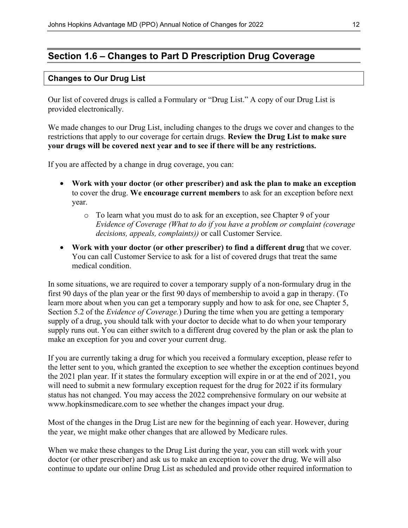# **Section 1.6 – Changes to Part D Prescription Drug Coverage**

#### **Changes to Our Drug List**

Our list of covered drugs is called a Formulary or "Drug List." A copy of our Drug List is provided electronically.

We made changes to our Drug List, including changes to the drugs we cover and changes to the restrictions that apply to our coverage for certain drugs. **Review the Drug List to make sure your drugs will be covered next year and to see if there will be any restrictions.**

If you are affected by a change in drug coverage, you can:

- **Work with your doctor (or other prescriber) and ask the plan to make an exception** to cover the drug. **We encourage current members** to ask for an exception before next year.
	- o To learn what you must do to ask for an exception, see Chapter 9 of your *Evidence of Coverage (What to do if you have a problem or complaint (coverage decisions, appeals, complaints))* or call Customer Service.
- **Work with your doctor (or other prescriber) to find a different drug** that we cover. You can call Customer Service to ask for a list of covered drugs that treat the same medical condition.

In some situations, we are required to cover a temporary supply of a non-formulary drug in the first 90 days of the plan year or the first 90 days of membership to avoid a gap in therapy. (To learn more about when you can get a temporary supply and how to ask for one, see Chapter 5, Section 5.2 of the *Evidence of Coverage.*) During the time when you are getting a temporary supply of a drug, you should talk with your doctor to decide what to do when your temporary supply runs out. You can either switch to a different drug covered by the plan or ask the plan to make an exception for you and cover your current drug.

If you are currently taking a drug for which you received a formulary exception, please refer to the letter sent to you, which granted the exception to see whether the exception continues beyond the 2021 plan year. If it states the formulary exception will expire in or at the end of 2021, you will need to submit a new formulary exception request for the drug for 2022 if its formulary status has not changed. You may access the 2022 comprehensive formulary on our website at [www.hopkinsmedicare.com](http://www.hopkinsmedicare.com) to see whether the changes impact your drug.

Most of the changes in the Drug List are new for the beginning of each year. However, during the year, we might make other changes that are allowed by Medicare rules.

When we make these changes to the Drug List during the year, you can still work with your doctor (or other prescriber) and ask us to make an exception to cover the drug. We will also continue to update our online Drug List as scheduled and provide other required information to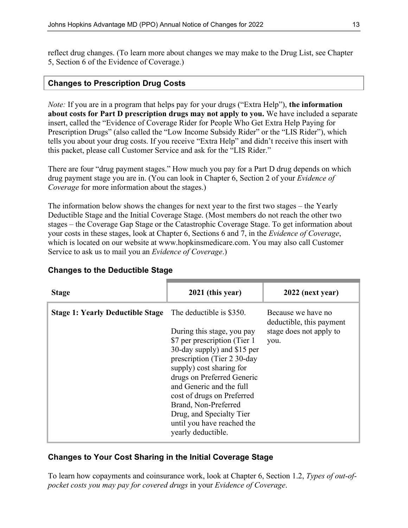reflect drug changes. (To learn more about changes we may make to the Drug List, see Chapter 5, Section 6 of the Evidence of Coverage.)

#### **Changes to Prescription Drug Costs**

*Note:* If you are in a program that helps pay for your drugs ("Extra Help"), **the information about costs for Part D prescription drugs may not apply to you.** We have included a separate insert, called the "Evidence of Coverage Rider for People Who Get Extra Help Paying for Prescription Drugs" (also called the "Low Income Subsidy Rider" or the "LIS Rider"), which tells you about your drug costs. If you receive "Extra Help" and didn't receive this insert with this packet, please call Customer Service and ask for the "LIS Rider."

There are four "drug payment stages." How much you pay for a Part D drug depends on which drug payment stage you are in. (You can look in Chapter 6, Section 2 of your *Evidence of Coverage* for more information about the stages.)

The information below shows the changes for next year to the first two stages – the Yearly Deductible Stage and the Initial Coverage Stage. (Most members do not reach the other two stages – the Coverage Gap Stage or the Catastrophic Coverage Stage. To get information about your costs in these stages, look at Chapter 6, Sections 6 and 7, in the *Evidence of Coverage*, which is located on our website at [www.hopkinsmedicare.com.](http://www.hopkinsmedicare.com) You may also call Customer Service to ask us to mail you an *Evidence of Coverage*.)

| <b>Stage</b>                            | 2021 (this year)                                                                                                                                                                                                                                                                                                              | 2022 (next year)                                                                  |
|-----------------------------------------|-------------------------------------------------------------------------------------------------------------------------------------------------------------------------------------------------------------------------------------------------------------------------------------------------------------------------------|-----------------------------------------------------------------------------------|
| <b>Stage 1: Yearly Deductible Stage</b> | The deductible is \$350.<br>During this stage, you pay<br>\$7 per prescription (Tier 1)<br>30-day supply) and \$15 per<br>prescription (Tier 2 30-day<br>supply) cost sharing for<br>drugs on Preferred Generic<br>and Generic and the full<br>cost of drugs on Preferred<br>Brand, Non-Preferred<br>Drug, and Specialty Tier | Because we have no<br>deductible, this payment<br>stage does not apply to<br>you. |
|                                         | until you have reached the<br>yearly deductible.                                                                                                                                                                                                                                                                              |                                                                                   |

#### **Changes to the Deductible Stage**

#### **Changes to Your Cost Sharing in the Initial Coverage Stage**

To learn how copayments and coinsurance work, look at Chapter 6, Section 1.2, *Types of out-ofpocket costs you may pay for covered drugs* in your *Evidence of Coverage*.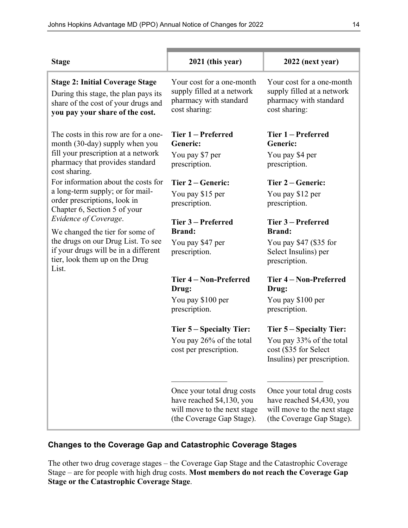| <b>Stage</b>                                                                                                                                                                      | 2021 (this year)                                                                                                    | 2022 (next year)                                                                                                    |
|-----------------------------------------------------------------------------------------------------------------------------------------------------------------------------------|---------------------------------------------------------------------------------------------------------------------|---------------------------------------------------------------------------------------------------------------------|
| <b>Stage 2: Initial Coverage Stage</b><br>During this stage, the plan pays its<br>share of the cost of your drugs and<br>you pay your share of the cost.                          | Your cost for a one-month<br>supply filled at a network<br>pharmacy with standard<br>cost sharing:                  | Your cost for a one-month<br>supply filled at a network<br>pharmacy with standard<br>cost sharing:                  |
| The costs in this row are for a one-<br>month (30-day) supply when you<br>fill your prescription at a network<br>pharmacy that provides standard<br>cost sharing.                 | Tier 1 – Preferred<br><b>Generic:</b><br>You pay \$7 per<br>prescription.                                           | Tier 1 – Preferred<br>Generic:<br>You pay \$4 per<br>prescription.                                                  |
| For information about the costs for<br>a long-term supply; or for mail-<br>order prescriptions, look in<br>Chapter 6, Section 5 of your                                           | Tier 2 – Generic:<br>You pay \$15 per<br>prescription.                                                              | Tier 2 – Generic:<br>You pay \$12 per<br>prescription.                                                              |
| Evidence of Coverage.<br>We changed the tier for some of<br>the drugs on our Drug List. To see<br>if your drugs will be in a different<br>tier, look them up on the Drug<br>List. | Tier 3 – Preferred<br><b>Brand:</b><br>You pay \$47 per<br>prescription.                                            | Tier 3 – Preferred<br><b>Brand:</b><br>You pay $$47$ (\$35 for<br>Select Insulins) per<br>prescription.             |
|                                                                                                                                                                                   | Tier 4 - Non-Preferred<br>Drug:                                                                                     | Tier 4 – Non-Preferred<br>Drug:                                                                                     |
|                                                                                                                                                                                   | You pay \$100 per<br>prescription.                                                                                  | You pay \$100 per<br>prescription.                                                                                  |
|                                                                                                                                                                                   | Tier 5 – Specialty Tier:<br>You pay 26% of the total<br>cost per prescription.                                      | Tier 5 – Specialty Tier:<br>You pay 33% of the total<br>cost (\$35 for Select<br>Insulins) per prescription.        |
|                                                                                                                                                                                   | Once your total drug costs<br>have reached \$4,130, you<br>will move to the next stage<br>(the Coverage Gap Stage). | Once your total drug costs<br>have reached \$4,430, you<br>will move to the next stage<br>(the Coverage Gap Stage). |

### **Changes to the Coverage Gap and Catastrophic Coverage Stages**

The other two drug coverage stages – the Coverage Gap Stage and the Catastrophic Coverage Stage – are for people with high drug costs. **Most members do not reach the Coverage Gap Stage or the Catastrophic Coverage Stage**.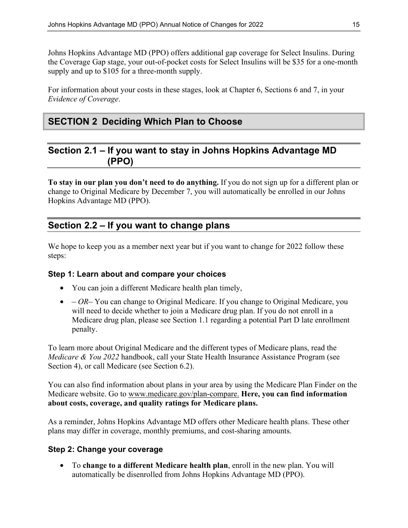Johns Hopkins Advantage MD (PPO) offers additional gap coverage for Select Insulins. During the Coverage Gap stage, your out-of-pocket costs for Select Insulins will be \$35 for a one-month supply and up to \$105 for a three-month supply.

For information about your costs in these stages, look at Chapter 6, Sections 6 and 7, in your *Evidence of Coverage*.

# **SECTION 2 Deciding Which Plan to Choose**

# **Section 2.1 – If you want to stay in Johns Hopkins Advantage MD (PPO)**

**To stay in our plan you don't need to do anything.** If you do not sign up for a different plan or change to Original Medicare by December 7, you will automatically be enrolled in our Johns Hopkins Advantage MD (PPO).

### **Section 2.2 – If you want to change plans**

We hope to keep you as a member next year but if you want to change for 2022 follow these steps:

#### **Step 1: Learn about and compare your choices**

- You can join a different Medicare health plan timely,
- *OR–* You can change to Original Medicare. If you change to Original Medicare, you will need to decide whether to join a Medicare drug plan. If you do not enroll in a Medicare drug plan, please see Section 1.1 regarding a potential Part D late enrollment penalty.

To learn more about Original Medicare and the different types of Medicare plans, read the *Medicare & You 2022* handbook, call your State Health Insurance Assistance Program (see Section 4), or call Medicare (see Section 6.2).

You can also find information about plans in your area by using the Medicare Plan Finder on the Medicare website. Go to [www.medicare.gov/plan-compare.](http://www.medicare.gov/plan-compare) **Here, you can find information about costs, coverage, and quality ratings for Medicare plans.**

As a reminder, Johns Hopkins Advantage MD offers other Medicare health plans. These other plans may differ in coverage, monthly premiums, and cost-sharing amounts.

#### **Step 2: Change your coverage**

• To **change to a different Medicare health plan**, enroll in the new plan. You will automatically be disenrolled from Johns Hopkins Advantage MD (PPO).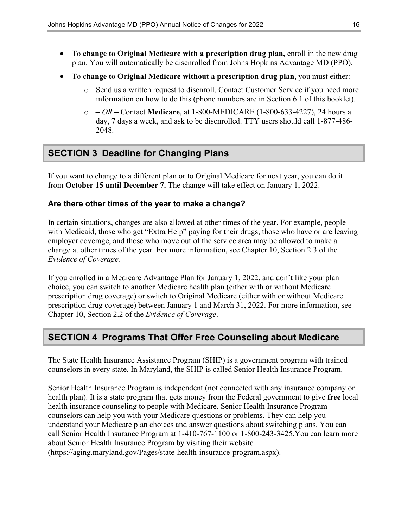- To **change to Original Medicare with a prescription drug plan,** enroll in the new drug plan. You will automatically be disenrolled from Johns Hopkins Advantage MD (PPO).
- To **change to Original Medicare without a prescription drug plan**, you must either:
	- o Send us a written request to disenroll. Contact Customer Service if you need more information on how to do this (phone numbers are in Section 6.1 of this booklet).
	- o  *OR –* Contact **Medicare**, at 1-800-MEDICARE (1-800-633-4227), 24 hours a day, 7 days a week, and ask to be disenrolled. TTY users should call 1-877-486- 2048.

# **SECTION 3 Deadline for Changing Plans**

If you want to change to a different plan or to Original Medicare for next year, you can do it from **October 15 until December 7.** The change will take effect on January 1, 2022.

#### **Are there other times of the year to make a change?**

In certain situations, changes are also allowed at other times of the year. For example, people with Medicaid, those who get "Extra Help" paying for their drugs, those who have or are leaving employer coverage, and those who move out of the service area may be allowed to make a change at other times of the year. For more information, see Chapter 10, Section 2.3 of the *Evidence of Coverage.* 

If you enrolled in a Medicare Advantage Plan for January 1, 2022, and don't like your plan choice, you can switch to another Medicare health plan (either with or without Medicare prescription drug coverage) or switch to Original Medicare (either with or without Medicare prescription drug coverage) between January 1 and March 31, 2022. For more information, see Chapter 10, Section 2.2 of the *Evidence of Coverage*.

# **SECTION 4 Programs That Offer Free Counseling about Medicare**

The State Health Insurance Assistance Program (SHIP) is a government program with trained counselors in every state. In Maryland, the SHIP is called Senior Health Insurance Program.

Senior Health Insurance Program is independent (not connected with any insurance company or health plan). It is a state program that gets money from the Federal government to give **free** local health insurance counseling to people with Medicare. Senior Health Insurance Program counselors can help you with your Medicare questions or problems. They can help you understand your Medicare plan choices and answer questions about switching plans. You can call Senior Health Insurance Program at 1-410-767-1100 or 1-800-243-3425.You can learn more about Senior Health Insurance Program by visiting their website [\(https://aging.maryland.gov/Pages/state-health-insurance-program.aspx\).](https://aging.maryland.gov/Pages/state-health-insurance-program.aspx))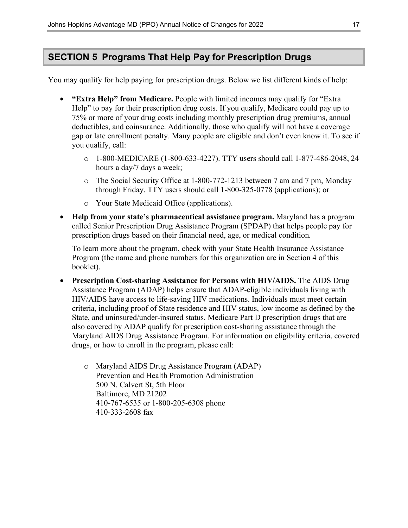# **SECTION 5 Programs That Help Pay for Prescription Drugs**

You may qualify for help paying for prescription drugs. Below we list different kinds of help:

- **"Extra Help" from Medicare.** People with limited incomes may qualify for "Extra Help" to pay for their prescription drug costs. If you qualify, Medicare could pay up to 75% or more of your drug costs including monthly prescription drug premiums, annual deductibles, and coinsurance. Additionally, those who qualify will not have a coverage gap or late enrollment penalty. Many people are eligible and don't even know it. To see if you qualify, call:
	- o 1-800-MEDICARE (1-800-633-4227). TTY users should call 1-877-486-2048, 24 hours a day/7 days a week;
	- o The Social Security Office at 1-800-772-1213 between 7 am and 7 pm, Monday through Friday. TTY users should call 1-800-325-0778 (applications); or
	- o Your State Medicaid Office (applications).
- **Help from your state's pharmaceutical assistance program.** Maryland has a program called Senior Prescription Drug Assistance Program (SPDAP) that helps people pay for prescription drugs based on their financial need, age, or medical condition*.*

To learn more about the program, check with your State Health Insurance Assistance Program (the name and phone numbers for this organization are in Section 4 of this booklet).

- **Prescription Cost-sharing Assistance for Persons with HIV/AIDS.** The AIDS Drug Assistance Program (ADAP) helps ensure that ADAP-eligible individuals living with HIV/AIDS have access to life-saving HIV medications. Individuals must meet certain criteria, including proof of State residence and HIV status, low income as defined by the State, and uninsured/under-insured status. Medicare Part D prescription drugs that are also covered by ADAP qualify for prescription cost-sharing assistance through the Maryland AIDS Drug Assistance Program. For information on eligibility criteria, covered drugs, or how to enroll in the program, please call:
	- o Maryland AIDS Drug Assistance Program (ADAP) Prevention and Health Promotion Administration 500 N. Calvert St, 5th Floor Baltimore, MD 21202 410-767-6535 or 1-800-205-6308 phone 410-333-2608 fax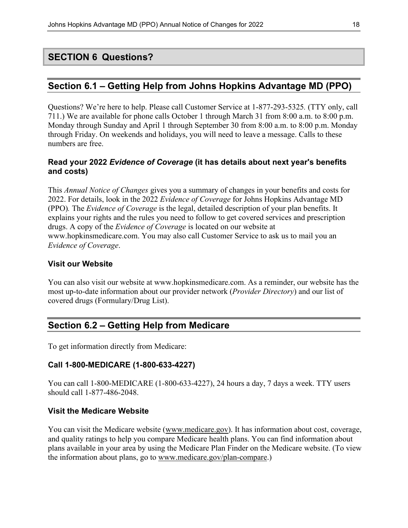## **SECTION 6 Questions?**

### **Section 6.1 – Getting Help from Johns Hopkins Advantage MD (PPO)**

Questions? We're here to help. Please call Customer Service at 1-877-293-5325*.* (TTY only, call 711.) We are available for phone calls October 1 through March 31 from 8:00 a.m. to 8:00 p.m. Monday through Sunday and April 1 through September 30 from 8:00 a.m. to 8:00 p.m. Monday through Friday. On weekends and holidays, you will need to leave a message. Calls to these numbers are free.

#### **Read your 2022** *Evidence of Coverage* **(it has details about next year's benefits and costs)**

This *Annual Notice of Changes* gives you a summary of changes in your benefits and costs for 2022. For details, look in the 2022 *Evidence of Coverage* for Johns Hopkins Advantage MD (PPO)*.* The *Evidence of Coverage* is the legal, detailed description of your plan benefits. It explains your rights and the rules you need to follow to get covered services and prescription drugs. A copy of the *Evidence of Coverage* is located on our website at [www.hopkinsmedicare.com.](http://www.hopkinsmedicare.com) You may also call Customer Service to ask us to mail you an *Evidence of Coverage*.

#### **Visit our Website**

You can also visit our website at [www.hopkinsmedicare.com](http://www.hopkinsmedicare.com). As a reminder, our website has the most up-to-date information about our provider network (*Provider Directory*) and our list of covered drugs (Formulary/Drug List).

# **Section 6.2 – Getting Help from Medicare**

To get information directly from Medicare:

#### **Call 1-800-MEDICARE (1-800-633-4227)**

You can call 1-800-MEDICARE (1-800-633-4227), 24 hours a day, 7 days a week. TTY users should call 1-877-486-2048.

#### **Visit the Medicare Website**

You can visit the Medicare website [\(www.medicare.gov\)](http://www.medicare.gov/). It has information about cost, coverage, and quality ratings to help you compare Medicare health plans. You can find information about plans available in your area by using the Medicare Plan Finder on the Medicare website. (To view the information about plans, go to [www.medicare.gov/plan-compare.](http://www.medicare.gov/plan-compare))